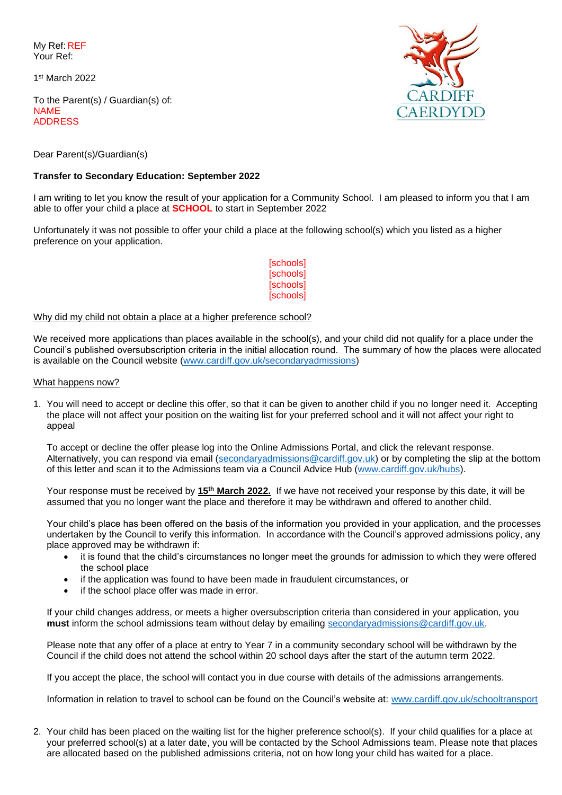My Ref: REF Your Ref:

1 st March 2022

To the Parent(s) / Guardian(s) of: NAME ADDRESS



Dear Parent(s)/Guardian(s)

# **Transfer to Secondary Education: September 2022**

I am writing to let you know the result of your application for a Community School. I am pleased to inform you that I am able to offer your child a place at **SCHOOL** to start in September 2022

Unfortunately it was not possible to offer your child a place at the following school(s) which you listed as a higher preference on your application.

> [schools] [schools] [schools] [schools]

## Why did my child not obtain a place at a higher preference school?

We received more applications than places available in the school(s), and your child did not qualify for a place under the Council's published oversubscription criteria in the initial allocation round. The summary of how the places were allocated is available on the Council website [\(www.cardiff.gov.uk/secondaryadmissions\)](http://www.cardiff.gov.uk/secondaryadmissions)

#### What happens now?

1. You will need to accept or decline this offer, so that it can be given to another child if you no longer need it. Accepting the place will not affect your position on the waiting list for your preferred school and it will not affect your right to appeal

To accept or decline the offer please log into the Online Admissions Portal, and click the relevant response. Alternatively, you can respond via email [\(secondaryadmissions@cardiff.gov.uk\)](mailto:secondaryadmissions@cardiff.gov.uk) or by completing the slip at the bottom of this letter and scan it to the Admissions team via a Council Advice Hub [\(www.cardiff.gov.uk/hubs\)](http://www.cardiff.gov.uk/hubs).

Your response must be received by 15<sup>th</sup> March 2022. If we have not received your response by this date, it will be assumed that you no longer want the place and therefore it may be withdrawn and offered to another child.

Your child's place has been offered on the basis of the information you provided in your application, and the processes undertaken by the Council to verify this information. In accordance with the Council's approved admissions policy, any place approved may be withdrawn if:

- it is found that the child's circumstances no longer meet the grounds for admission to which they were offered the school place
- if the application was found to have been made in fraudulent circumstances, or
- if the school place offer was made in error.

If your child changes address, or meets a higher oversubscription criteria than considered in your application, you **must** inform the school admissions team without delay by emailing [secondaryadmissions@cardiff.gov.uk.](mailto:secondaryadmissions@cardiff.gov.uk)

Please note that any offer of a place at entry to Year 7 in a community secondary school will be withdrawn by the Council if the child does not attend the school within 20 school days after the start of the autumn term 2022.

If you accept the place, the school will contact you in due course with details of the admissions arrangements.

Information in relation to travel to school can be found on the Council's website at: [www.cardiff.gov.uk/schooltransport](http://www.cardiff.gov.uk/schooltransport)

2. Your child has been placed on the waiting list for the higher preference school(s). If your child qualifies for a place at your preferred school(s) at a later date, you will be contacted by the School Admissions team. Please note that places are allocated based on the published admissions criteria, not on how long your child has waited for a place.